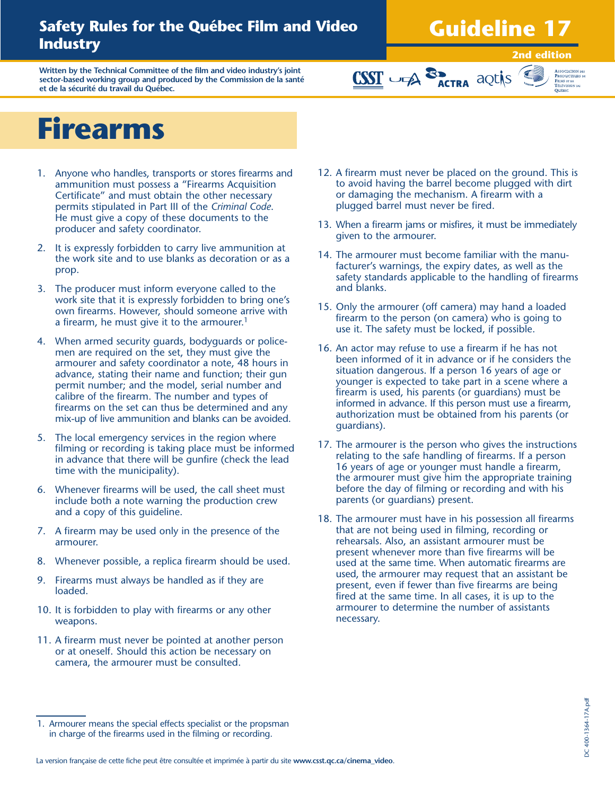### **Safety Rules for the Québec Film and Video Industry**

## **Guideline 17**

**Written by the Technical Committee of the film and video industry's joint sector-based working group and produced by the Commission de la santé et de la sécurité du travail du Québec.**

#### **2nd edition**



## **Firearms**

- 1. Anyone who handles, transports or stores firearms and ammunition must possess a "Firearms Acquisition Certificate" and must obtain the other necessary permits stipulated in Part III of the *Criminal Code*. He must give a copy of these documents to the producer and safety coordinator.
- 2. It is expressly forbidden to carry live ammunition at the work site and to use blanks as decoration or as a prop.
- 3. The producer must inform everyone called to the work site that it is expressly forbidden to bring one's own firearms. However, should someone arrive with a firearm, he must give it to the armourer.<sup>1</sup>
- 4. When armed security guards, bodyguards or policemen are required on the set, they must give the armourer and safety coordinator a note, 48 hours in advance, stating their name and function; their gun permit number; and the model, serial number and calibre of the firearm. The number and types of firearms on the set can thus be determined and any mix-up of live ammunition and blanks can be avoided.
- 5. The local emergency services in the region where filming or recording is taking place must be informed in advance that there will be gunfire (check the lead time with the municipality).
- 6. Whenever firearms will be used, the call sheet must include both a note warning the production crew and a copy of this guideline.
- 7. A firearm may be used only in the presence of the armourer.
- 8. Whenever possible, a replica firearm should be used.
- 9. Firearms must always be handled as if they are loaded.
- 10. It is forbidden to play with firearms or any other weapons.
- 11. A firearm must never be pointed at another person or at oneself. Should this action be necessary on camera, the armourer must be consulted.

12. A firearm must never be placed on the ground. This is to avoid having the barrel become plugged with dirt or damaging the mechanism. A firearm with a plugged barrel must never be fired.

**CSST** UPA **SP** ACTRA aQUIS

- 13. When a firearm jams or misfires, it must be immediately given to the armourer.
- 14. The armourer must become familiar with the manufacturer's warnings, the expiry dates, as well as the safety standards applicable to the handling of firearms and blanks.
- 15. Only the armourer (off camera) may hand a loaded firearm to the person (on camera) who is going to use it. The safety must be locked, if possible.
- 16. An actor may refuse to use a firearm if he has not been informed of it in advance or if he considers the situation dangerous. If a person 16 years of age or younger is expected to take part in a scene where a firearm is used, his parents (or guardians) must be informed in advance. If this person must use a firearm, authorization must be obtained from his parents (or guardians).
- 17. The armourer is the person who gives the instructions relating to the safe handling of firearms. If a person 16 years of age or younger must handle a firearm, the armourer must give him the appropriate training before the day of filming or recording and with his parents (or guardians) present.
- 18. The armourer must have in his possession all firearms that are not being used in filming, recording or rehearsals. Also, an assistant armourer must be present whenever more than five firearms will be used at the same time. When automatic firearms are used, the armourer may request that an assistant be present, even if fewer than five firearms are being fired at the same time. In all cases, it is up to the armourer to determine the number of assistants necessary.

La version française de cette fiche peut être consultée et imprimée à partir du site **www.csst.qc.ca/cinema\_video**.

<sup>1.</sup> Armourer means the special effects specialist or the propsman in charge of the firearms used in the filming or recording.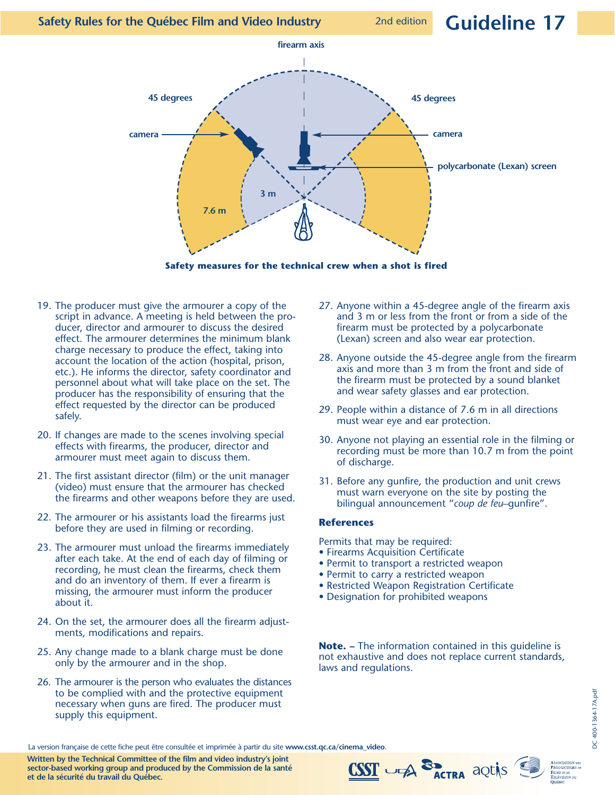### 2nd edition **Guideline 17**



**Safety measures for the technical crew when a shot is fired**

- 19. The producer must give the armourer a copy of the script in advance. A meeting is held between the producer, director and armourer to discuss the desired effect. The armourer determines the minimum blank charge necessary to produce the effect, taking into account the location of the action (hospital, prison, etc.). He informs the director, safety coordinator and personnel about what will take place on the set. The producer has the responsibility of ensuring that the effect requested by the director can be produced safely.
- 20. If changes are made to the scenes involving special effects with firearms, the producer, director and armourer must meet again to discuss them.
- 21. The first assistant director (film) or the unit manager (video) must ensure that the armourer has checked the firearms and other weapons before they are used.
- 22. The armourer or his assistants load the firearms just before they are used in filming or recording.
- 23. The armourer must unload the firearms immediately after each take. At the end of each day of filming or recording, he must clean the firearms, check them and do an inventory of them. If ever a firearm is missing, the armourer must inform the producer about it.
- 24. On the set, the armourer does all the firearm adjustments, modifications and repairs.
- 25. Any change made to a blank charge must be done only by the armourer and in the shop.
- to be complied with and the protective equipment<br>
necessary when guns are fired. The producer must<br>
supply this equipment.<br>
La version française de cette fiche peut être consultée et imprimée à partir du site **www.csst.qc.** 26. The armourer is the person who evaluates the distances to be complied with and the protective equipment necessary when guns are fired. The producer must supply this equipment.
- 27. Anyone within a 45-degree angle of the firearm axis and 3 m or less from the front or from a side of the firearm must be protected by a polycarbonate (Lexan) screen and also wear ear protection.
- 28. Anyone outside the 45-degree angle from the firearm axis and more than 3 m from the front and side of the firearm must be protected by a sound blanket and wear safety glasses and ear protection.
- 29. People within a distance of 7.6 m in all directions must wear eye and ear protection.
- 30. Anyone not playing an essential role in the filming or recording must be more than 10.7 m from the point of discharge.
- 31. Before any gunfire, the production and unit crews must warn everyone on the site by posting the bilingual announcement "*coup de feu*–gunfire".

#### **References**

Permits that may be required:

- Firearms Acquisition Certificate
- Permit to transport a restricted weapon
- Permit to carry a restricted weapon
- Restricted Weapon Registration Certificate
- Designation for prohibited weapons

**Note. –** The information contained in this guideline is not exhaustive and does not replace current standards, laws and regulations.

**Written by the Technical Committee of the film and video industry's joint sector-based working group and produced by the Commission de la santé et de la sécurité du travail du Québec.**